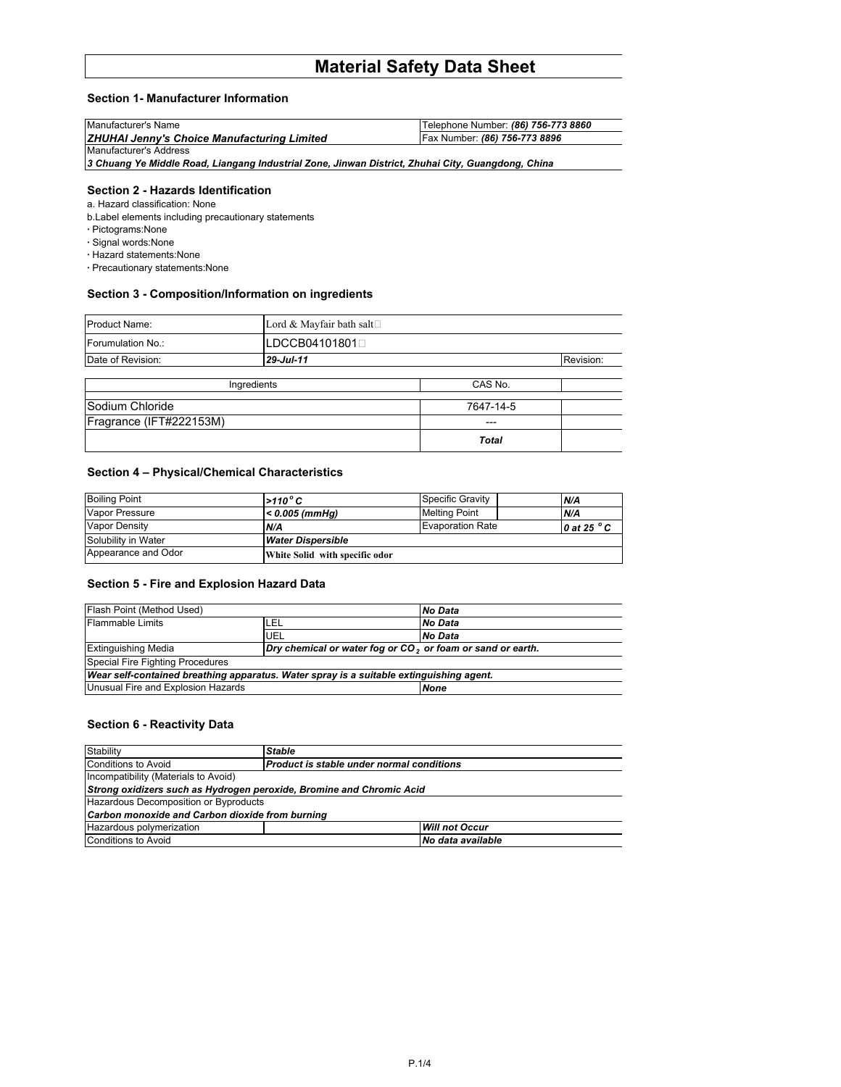# **Material Safety Data Sheet**

# **Section 1- Manufacturer Information**

| Manufacturer's Name                                | Telephone Number: (86) 756-773 8860 |
|----------------------------------------------------|-------------------------------------|
| <b>ZHUHAI Jenny's Choice Manufacturing Limited</b> | Fax Number: (86) 756-773 8896       |
| Manufacturer's Address                             |                                     |

*3 Chuang Ye Middle Road, Liangang Industrial Zone, Jinwan District, Zhuhai City, Guangdong, China*

## **Section 2 - Hazards Identification**

a. Hazard classification: None

b.Label elements including precautionary statements

- **·** Pictograms:None
- **·** Signal words:None
- **·** Hazard statements:None
- **·** Precautionary statements:None

# **Section 3 - Composition/Information on ingredients**

| <b>Product Name:</b>    | Lord & Mayfair bath salt |              |  |  |
|-------------------------|--------------------------|--------------|--|--|
| Forumulation No.:       | LDCCB04101801(           |              |  |  |
| Date of Revision:       | 29-Jul-11                | Revision:    |  |  |
|                         | Ingredients              | CAS No.      |  |  |
| Sodium Chloride         |                          | 7647-14-5    |  |  |
| Fragrance (IFT#222153M) |                          | ---          |  |  |
|                         |                          | <b>Total</b> |  |  |

# **Section 4 – Physical/Chemical Characteristics**

| <b>Boiling Point</b>  | $>110^{\circ}$ C               | Specific Gravity        | N/A                  |
|-----------------------|--------------------------------|-------------------------|----------------------|
| <b>Vapor Pressure</b> | $< 0.005$ (mmHq)               | <b>Melting Point</b>    | N/A                  |
| <b>Vapor Density</b>  | N/A                            | <b>Evaporation Rate</b> | 0 at 25 $^{\circ}$ C |
| Solubility in Water   | <b>Water Dispersible</b>       |                         |                      |
| Appearance and Odor   | White Solid with specific odor |                         |                      |

## **Section 5 - Fire and Explosion Hazard Data**

| Flash Point (Method Used)          |      | No Data                                                                                 |  |
|------------------------------------|------|-----------------------------------------------------------------------------------------|--|
| <b>Flammable Limits</b>            | 'LEL | No Data                                                                                 |  |
|                                    | UEL  | No Data                                                                                 |  |
| <b>Extinguishing Media</b>         |      | Dry chemical or water fog or CO <sub>2</sub> or foam or sand or earth.                  |  |
| Special Fire Fighting Procedures   |      |                                                                                         |  |
|                                    |      | Wear self-contained breathing apparatus. Water spray is a suitable extinguishing agent. |  |
| Unusual Fire and Explosion Hazards |      | <b>None</b>                                                                             |  |

# **Section 6 - Reactivity Data**

| Stability                                                            | <b>Stable</b>                             |                       |  |  |
|----------------------------------------------------------------------|-------------------------------------------|-----------------------|--|--|
| <b>Conditions to Avoid</b>                                           | Product is stable under normal conditions |                       |  |  |
| Incompatibility (Materials to Avoid)                                 |                                           |                       |  |  |
| Strong oxidizers such as Hydrogen peroxide, Bromine and Chromic Acid |                                           |                       |  |  |
| Hazardous Decomposition or Byproducts                                |                                           |                       |  |  |
| Carbon monoxide and Carbon dioxide from burning                      |                                           |                       |  |  |
| Hazardous polymerization                                             |                                           | <b>Will not Occur</b> |  |  |
| <b>Conditions to Avoid</b><br>No data available                      |                                           |                       |  |  |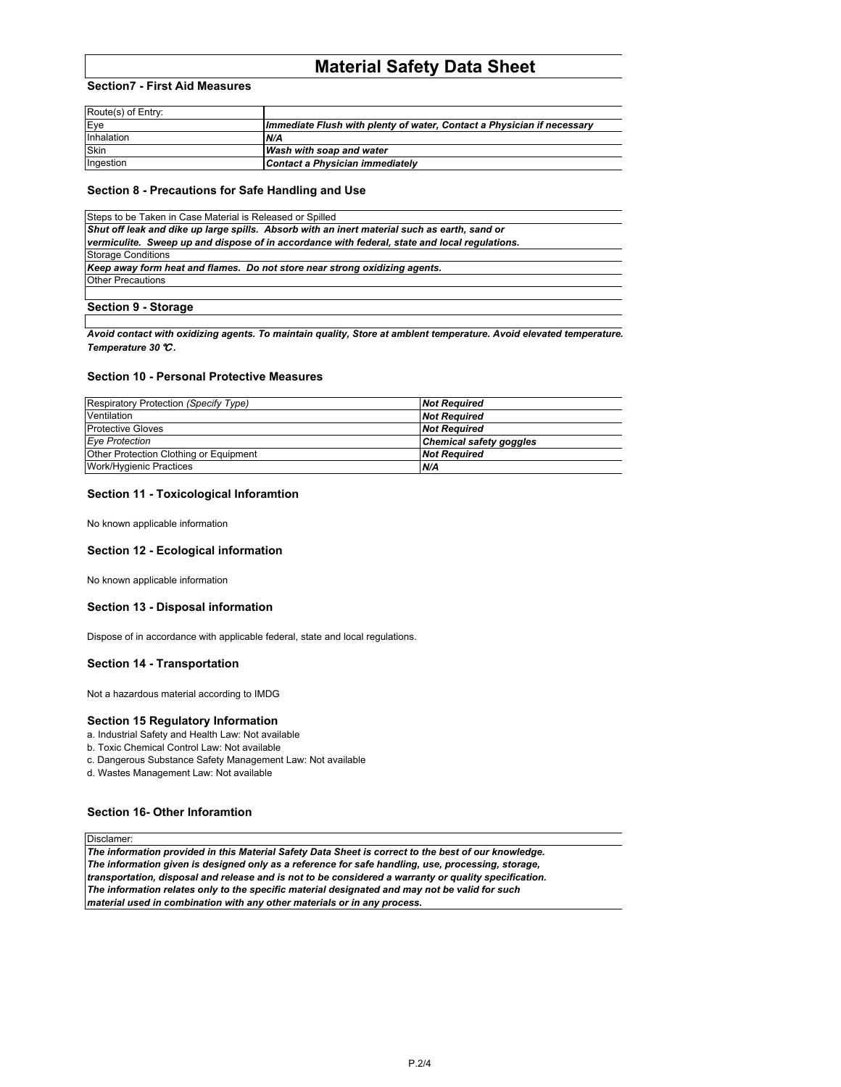# **Material Safety Data Sheet**

## **Section7 - First Aid Measures**

| Route(s) of Entry: |                                                                        |
|--------------------|------------------------------------------------------------------------|
| Eve                | Immediate Flush with plenty of water, Contact a Physician if necessary |
| Inhalation         | N/A                                                                    |
| <b>Skin</b>        | Wash with soap and water                                               |
| Ingestion          | Contact a Physician immediately                                        |

#### **Section 8 - Precautions for Safe Handling and Use**

| Steps to be Taken in Case Material is Released or Spilled                                     |
|-----------------------------------------------------------------------------------------------|
| Shut off leak and dike up large spills. Absorb with an inert material such as earth, sand or  |
| vermiculite. Sweep up and dispose of in accordance with federal, state and local regulations. |
| <b>Storage Conditions</b>                                                                     |
| Keep away form heat and flames. Do not store near strong oxidizing agents.                    |
| <b>Other Precautions</b>                                                                      |
|                                                                                               |
| <b>Section 9 - Storage</b>                                                                    |

Avoid contact with oxidizing agents. To maintain quality, Store at amblent temperature. Avoid elevated temperature. *Temperature 30*℃*.*

#### **Section 10 - Personal Protective Measures**

| Respiratory Protection (Specify Type)  | <b>Not Required</b>            |
|----------------------------------------|--------------------------------|
| Ventilation                            | <b>Not Required</b>            |
| <b>Protective Gloves</b>               | <b>Not Required</b>            |
| <b>Eye Protection</b>                  | <b>Chemical safety goggles</b> |
| Other Protection Clothing or Equipment | <b>Not Required</b>            |
| Work/Hygienic Practices                | N/A                            |

## **Section 11 - Toxicological Inforamtion**

No known applicable information

## **Section 12 - Ecological information**

No known applicable information

### **Section 13 - Disposal information**

Dispose of in accordance with applicable federal, state and local regulations.

# **Section 14 - Transportation**

Not a hazardous material according to IMDG

#### **Section 15 Regulatory Information**

- a. Industrial Safety and Health Law: Not available
- b. Toxic Chemical Control Law: Not available
- c. Dangerous Substance Safety Management Law: Not available

d. Wastes Management Law: Not available

## **Section 16- Other Inforamtion**

**Disclamer** 

*The information provided in this Material Safety Data Sheet is correct to the best of our knowledge. The information given is designed only as a reference for safe handling, use, processing, storage, transportation, disposal and release and is not to be considered a warranty or quality specification. The information relates only to the specific material designated and may not be valid for such material used in combination with any other materials or in any process.*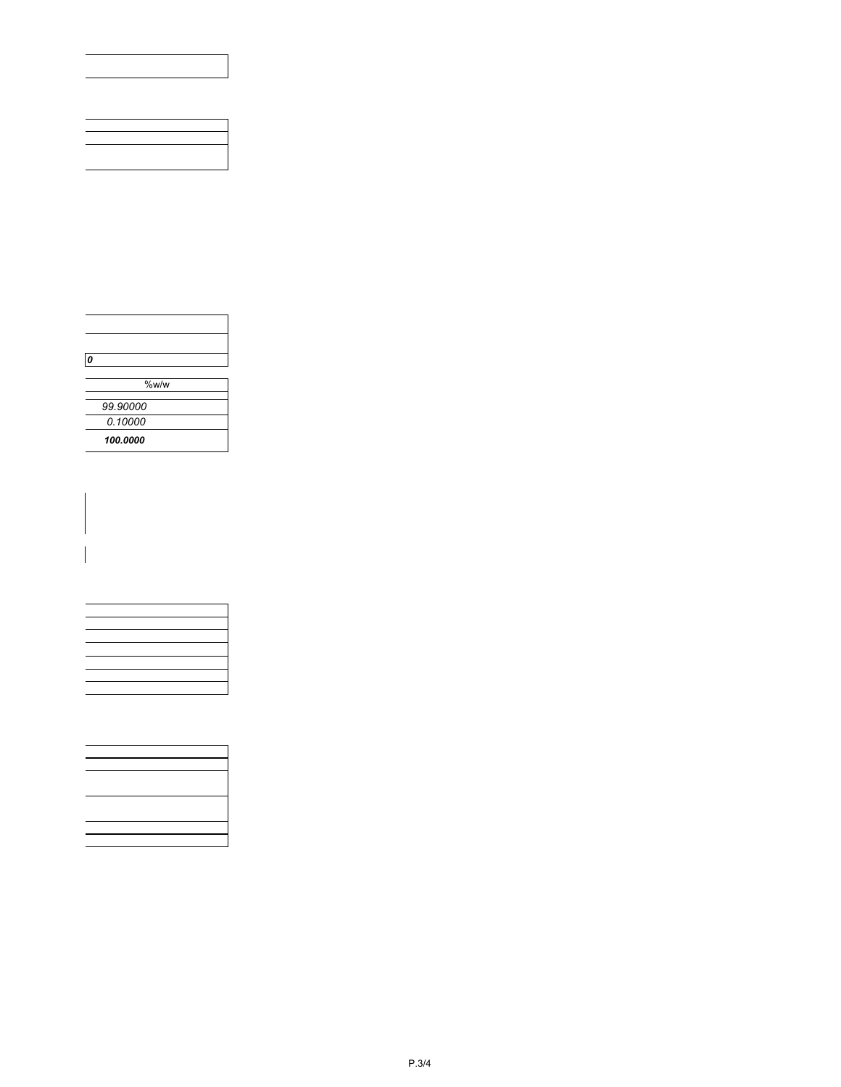| $\boldsymbol{0}$ |          |  |
|------------------|----------|--|
|                  |          |  |
|                  | %w/w     |  |
|                  | 99.90000 |  |
|                  | 0.10000  |  |
|                  |          |  |